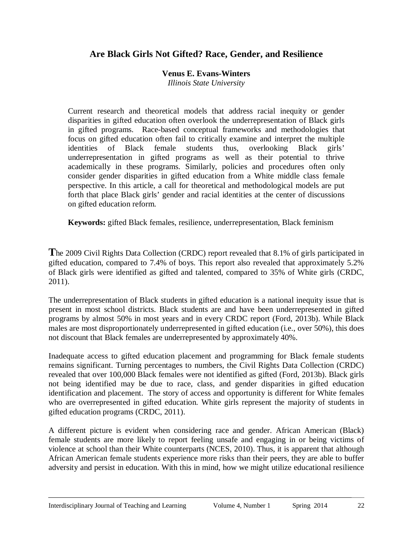# **Are Black Girls Not Gifted? Race, Gender, and Resilience**

### **Venus E. Evans-Winters**

*Illinois State University*

Current research and theoretical models that address racial inequity or gender disparities in gifted education often overlook the underrepresentation of Black girls in gifted programs. Race-based conceptual frameworks and methodologies that focus on gifted education often fail to critically examine and interpret the multiple identities of Black female students thus, overlooking Black girls' underrepresentation in gifted programs as well as their potential to thrive academically in these programs. Similarly, policies and procedures often only consider gender disparities in gifted education from a White middle class female perspective. In this article, a call for theoretical and methodological models are put forth that place Black girls' gender and racial identities at the center of discussions on gifted education reform.

**Keywords:** gifted Black females, resilience, underrepresentation, Black feminism

**T**he 2009 Civil Rights Data Collection (CRDC) report revealed that 8.1% of girls participated in gifted education, compared to 7.4% of boys. This report also revealed that approximately 5.2% of Black girls were identified as gifted and talented, compared to 35% of White girls (CRDC, 2011).

The underrepresentation of Black students in gifted education is a national inequity issue that is present in most school districts. Black students are and have been underrepresented in gifted programs by almost 50% in most years and in every CRDC report (Ford, 2013b). While Black males are most disproportionately underrepresented in gifted education (i.e., over 50%), this does not discount that Black females are underrepresented by approximately 40%.

Inadequate access to gifted education placement and programming for Black female students remains significant. Turning percentages to numbers, the Civil Rights Data Collection (CRDC) revealed that over 100,000 Black females were not identified as gifted (Ford, 2013b). Black girls not being identified may be due to race, class, and gender disparities in gifted education identification and placement. The story of access and opportunity is different for White females who are overrepresented in gifted education. White girls represent the majority of students in gifted education programs (CRDC, 2011).

A different picture is evident when considering race and gender. African American (Black) female students are more likely to report feeling unsafe and engaging in or being victims of violence at school than their White counterparts (NCES, 2010). Thus, it is apparent that although African American female students experience more risks than their peers, they are able to buffer adversity and persist in education. With this in mind, how we might utilize educational resilience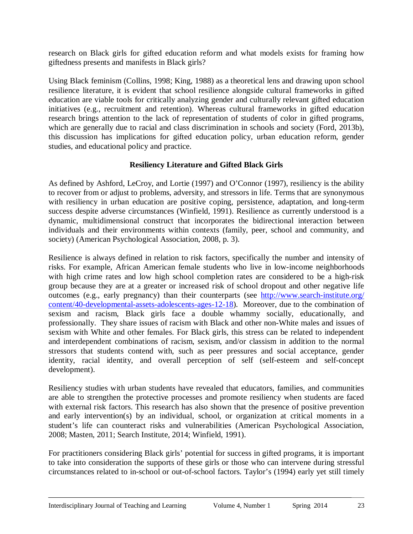research on Black girls for gifted education reform and what models exists for framing how giftedness presents and manifests in Black girls?

Using Black feminism (Collins, 1998; King, 1988) as a theoretical lens and drawing upon school resilience literature, it is evident that school resilience alongside cultural frameworks in gifted education are viable tools for critically analyzing gender and culturally relevant gifted education initiatives (e.g., recruitment and retention). Whereas cultural frameworks in gifted education research brings attention to the lack of representation of students of color in gifted programs, which are generally due to racial and class discrimination in schools and society (Ford, 2013b), this discussion has implications for gifted education policy, urban education reform, gender studies, and educational policy and practice.

## **Resiliency Literature and Gifted Black Girls**

As defined by Ashford, LeCroy, and Lortie (1997) and O'Connor (1997), resiliency is the ability to recover from or adjust to problems, adversity, and stressors in life. Terms that are synonymous with resiliency in urban education are positive coping, persistence, adaptation, and long-term success despite adverse circumstances (Winfield, 1991). Resilience as currently understood is a dynamic, multidimensional construct that incorporates the bidirectional interaction between individuals and their environments within contexts (family, peer, school and community, and society) (American Psychological Association, 2008, p. 3).

Resilience is always defined in relation to risk factors, specifically the number and intensity of risks. For example, African American female students who live in low-income neighborhoods with high crime rates and low high school completion rates are considered to be a high-risk group because they are at a greater or increased risk of school dropout and other negative life outcomes (e.g., early pregnancy) than their counterparts (see [http://www.search-institute.org/](http://www.search-institute.org/content/40-developmental-assets-adolescents-ages-12-18)  [content/40-developmental-assets-adolescents-ages-12-18\)](http://www.search-institute.org/content/40-developmental-assets-adolescents-ages-12-18). Moreover, due to the combination of sexism and racism, Black girls face a double whammy socially, educationally, and professionally. They share issues of racism with Black and other non-White males and issues of sexism with White and other females. For Black girls, this stress can be related to independent and interdependent combinations of racism, sexism, and/or classism in addition to the normal stressors that students contend with, such as peer pressures and social acceptance, gender identity, racial identity, and overall perception of self (self-esteem and self-concept development).

Resiliency studies with urban students have revealed that educators, families, and communities are able to strengthen the protective processes and promote resiliency when students are faced with external risk factors. This research has also shown that the presence of positive prevention and early intervention(s) by an individual, school, or organization at critical moments in a student's life can counteract risks and vulnerabilities (American Psychological Association, 2008; Masten, 2011; Search Institute, 2014; Winfield, 1991).

For practitioners considering Black girls' potential for success in gifted programs, it is important to take into consideration the supports of these girls or those who can intervene during stressful circumstances related to in-school or out-of-school factors. Taylor's (1994) early yet still timely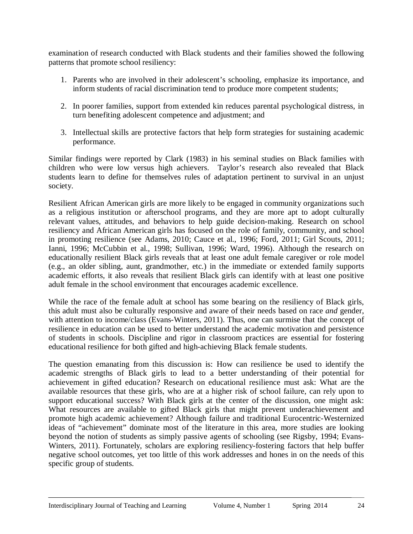examination of research conducted with Black students and their families showed the following patterns that promote school resiliency:

- 1. Parents who are involved in their adolescent's schooling, emphasize its importance, and inform students of racial discrimination tend to produce more competent students;
- 2. In poorer families, support from extended kin reduces parental psychological distress, in turn benefiting adolescent competence and adjustment; and
- 3. Intellectual skills are protective factors that help form strategies for sustaining academic performance.

Similar findings were reported by Clark (1983) in his seminal studies on Black families with children who were low versus high achievers. Taylor's research also revealed that Black students learn to define for themselves rules of adaptation pertinent to survival in an unjust society.

Resilient African American girls are more likely to be engaged in community organizations such as a religious institution or afterschool programs, and they are more apt to adopt culturally relevant values, attitudes, and behaviors to help guide decision-making. Research on school resiliency and African American girls has focused on the role of family, community, and school in promoting resilience (see Adams, 2010; Cauce et al., 1996; Ford, 2011; Girl Scouts, 2011; Ianni, 1996; McCubbin et al., 1998; Sullivan, 1996; Ward, 1996). Although the research on educationally resilient Black girls reveals that at least one adult female caregiver or role model (e.g., an older sibling, aunt, grandmother, etc.) in the immediate or extended family supports academic efforts, it also reveals that resilient Black girls can identify with at least one positive adult female in the school environment that encourages academic excellence.

While the race of the female adult at school has some bearing on the resiliency of Black girls, this adult must also be culturally responsive and aware of their needs based on race *and* gender, with attention to income/class (Evans-Winters, 2011). Thus, one can surmise that the concept of resilience in education can be used to better understand the academic motivation and persistence of students in schools. Discipline and rigor in classroom practices are essential for fostering educational resilience for both gifted and high-achieving Black female students.

The question emanating from this discussion is: How can resilience be used to identify the academic strengths of Black girls to lead to a better understanding of their potential for achievement in gifted education? Research on educational resilience must ask: What are the available resources that these girls, who are at a higher risk of school failure, can rely upon to support educational success? With Black girls at the center of the discussion, one might ask: What resources are available to gifted Black girls that might prevent underachievement and promote high academic achievement? Although failure and traditional Eurocentric-Westernized ideas of "achievement" dominate most of the literature in this area, more studies are looking beyond the notion of students as simply passive agents of schooling (see Rigsby, 1994; Evans-Winters, 2011). Fortunately, scholars are exploring resiliency-fostering factors that help buffer negative school outcomes, yet too little of this work addresses and hones in on the needs of this specific group of students.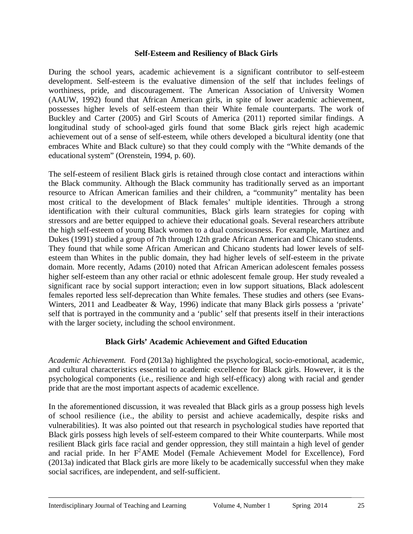#### **Self-Esteem and Resiliency of Black Girls**

During the school years, academic achievement is a significant contributor to self-esteem development. Self-esteem is the evaluative dimension of the self that includes feelings of worthiness, pride, and discouragement. The American Association of University Women (AAUW, 1992) found that African American girls, in spite of lower academic achievement, possesses higher levels of self-esteem than their White female counterparts. The work of Buckley and Carter (2005) and Girl Scouts of America (2011) reported similar findings. A longitudinal study of school-aged girls found that some Black girls reject high academic achievement out of a sense of self-esteem, while others developed a bicultural identity (one that embraces White and Black culture) so that they could comply with the "White demands of the educational system" (Orenstein, 1994, p. 60).

The self-esteem of resilient Black girls is retained through close contact and interactions within the Black community. Although the Black community has traditionally served as an important resource to African American families and their children, a "community" mentality has been most critical to the development of Black females' multiple identities. Through a strong identification with their cultural communities, Black girls learn strategies for coping with stressors and are better equipped to achieve their educational goals. Several researchers attribute the high self-esteem of young Black women to a dual consciousness. For example, Martinez and Dukes (1991) studied a group of 7th through 12th grade African American and Chicano students. They found that while some African American and Chicano students had lower levels of selfesteem than Whites in the public domain, they had higher levels of self-esteem in the private domain. More recently, Adams (2010) noted that African American adolescent females possess higher self-esteem than any other racial or ethnic adolescent female group. Her study revealed a significant race by social support interaction; even in low support situations, Black adolescent females reported less self-deprecation than White females. These studies and others (see Evans-Winters, 2011 and Leadbeater & Way, 1996) indicate that many Black girls possess a 'private' self that is portrayed in the community and a 'public' self that presents itself in their interactions with the larger society, including the school environment.

## **Black Girls' Academic Achievement and Gifted Education**

*Academic Achievement.* Ford (2013a) highlighted the psychological, socio-emotional, academic, and cultural characteristics essential to academic excellence for Black girls. However, it is the psychological components (i.e., resilience and high self-efficacy) along with racial and gender pride that are the most important aspects of academic excellence.

In the aforementioned discussion, it was revealed that Black girls as a group possess high levels of school resilience (i.e., the ability to persist and achieve academically, despite risks and vulnerabilities). It was also pointed out that research in psychological studies have reported that Black girls possess high levels of self-esteem compared to their White counterparts. While most resilient Black girls face racial and gender oppression, they still maintain a high level of gender and racial pride. In her F<sup>2</sup>AME Model (Female Achievement Model for Excellence), Ford (2013a) indicated that Black girls are more likely to be academically successful when they make social sacrifices, are independent, and self-sufficient.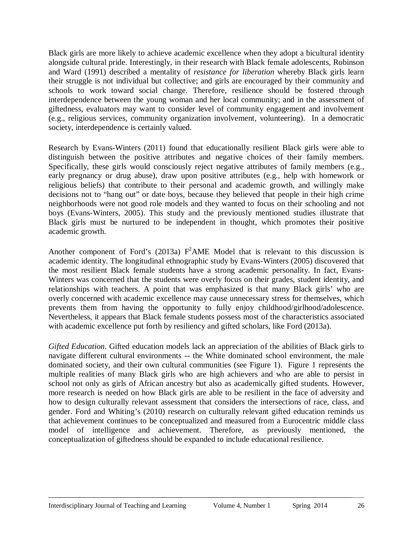Black girls are more likely to achieve academic excellence when they adopt a bicultural identity alongside cultural pride. Interestingly, in their research with Black female adolescents, Robinson and Ward (1991) described a mentality of *resistance for liberation* whereby Black girls learn their struggle is not individual but collective; and girls are encouraged by their community and schools to work toward social change. Therefore, resilience should be fostered through interdependence between the young woman and her local community; and in the assessment of giftedness, evaluators may want to consider level of community engagement and involvement (e.g., religious services, community organization involvement, volunteering). In a democratic society, interdependence is certainly valued.

Research by Evans-Winters (2011) found that educationally resilient Black girls were able to distinguish between the positive attributes and negative choices of their family members. Specifically, these girls would consciously reject negative attributes of family members (e.g., early pregnancy or drug abuse), draw upon positive attributes (e.g., help with homework or religious beliefs) that contribute to their personal and academic growth, and willingly make decisions not to "hang out" or date boys, because they believed that people in their high crime neighborhoods were not good role models and they wanted to focus on their schooling and not boys (Evans-Winters, 2005). This study and the previously mentioned studies illustrate that Black girls must be nurtured to be independent in thought, which promotes their positive academic growth.

Another component of Ford's (2013a)  $F^2$ AME Model that is relevant to this discussion is academic identity. The longitudinal ethnographic study by Evans-Winters (2005) discovered that the most resilient Black female students have a strong academic personality. In fact, Evans-Winters was concerned that the students were overly focus on their grades, student identity, and relationships with teachers. A point that was emphasized is that many Black girls' who are overly concerned with academic excellence may cause unnecessary stress for themselves, which prevents them from having the opportunity to fully enjoy childhood/girlhood/adolescence. Nevertheless, it appears that Black female students possess most of the characteristics associated with academic excellence put forth by resiliency and gifted scholars, like Ford (2013a).

*Gifted Education*. Gifted education models lack an appreciation of the abilities of Black girls to navigate different cultural environments -- the White dominated school environment, the male dominated society, and their own cultural communities (see Figure 1). Figure 1 represents the multiple realities of many Black girls who are high achievers and who are able to persist in school not only as girls of African ancestry but also as academically gifted students. However, more research is needed on how Black girls are able to be resilient in the face of adversity and how to design culturally relevant assessment that considers the intersections of race, class, and gender. Ford and Whiting's (2010) research on culturally relevant gifted education reminds us that achievement continues to be conceptualized and measured from a Eurocentric middle class model of intelligence and achievement. Therefore, as previously mentioned, the conceptualization of giftedness should be expanded to include educational resilience.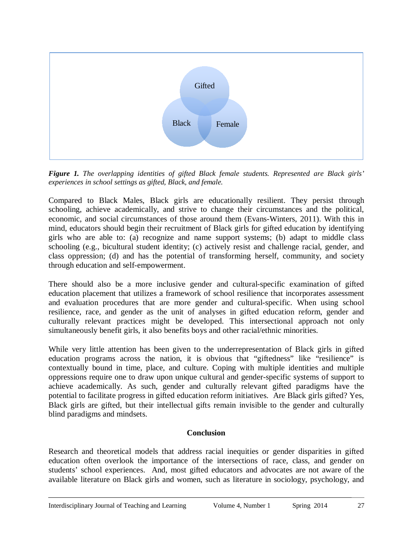

*Figure 1. The overlapping identities of gifted Black female students. Represented are Black girls' experiences in school settings as gifted, Black, and female.*

Compared to Black Males, Black girls are educationally resilient. They persist through schooling, achieve academically, and strive to change their circumstances and the political, economic, and social circumstances of those around them (Evans-Winters, 2011). With this in mind, educators should begin their recruitment of Black girls for gifted education by identifying girls who are able to: (a) recognize and name support systems; (b) adapt to middle class schooling (e.g., bicultural student identity; (c) actively resist and challenge racial, gender, and class oppression; (d) and has the potential of transforming herself, community, and society through education and self-empowerment.

There should also be a more inclusive gender and cultural-specific examination of gifted education placement that utilizes a framework of school resilience that incorporates assessment and evaluation procedures that are more gender and cultural-specific. When using school resilience, race, and gender as the unit of analyses in gifted education reform, gender and culturally relevant practices might be developed. This intersectional approach not only simultaneously benefit girls, it also benefits boys and other racial/ethnic minorities.

While very little attention has been given to the underrepresentation of Black girls in gifted education programs across the nation, it is obvious that "giftedness" like "resilience" is contextually bound in time, place, and culture. Coping with multiple identities and multiple oppressions require one to draw upon unique cultural and gender-specific systems of support to achieve academically. As such, gender and culturally relevant gifted paradigms have the potential to facilitate progress in gifted education reform initiatives. Are Black girls gifted? Yes, Black girls are gifted, but their intellectual gifts remain invisible to the gender and culturally blind paradigms and mindsets.

## **Conclusion**

Research and theoretical models that address racial inequities or gender disparities in gifted education often overlook the importance of the intersections of race, class, and gender on students' school experiences. And, most gifted educators and advocates are not aware of the available literature on Black girls and women, such as literature in sociology, psychology, and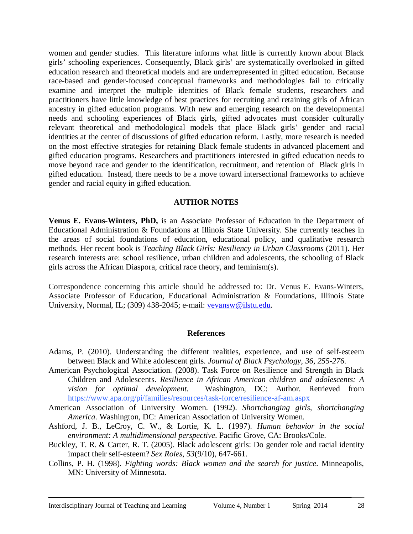women and gender studies. This literature informs what little is currently known about Black girls' schooling experiences. Consequently, Black girls' are systematically overlooked in gifted education research and theoretical models and are underrepresented in gifted education. Because race-based and gender-focused conceptual frameworks and methodologies fail to critically examine and interpret the multiple identities of Black female students, researchers and practitioners have little knowledge of best practices for recruiting and retaining girls of African ancestry in gifted education programs. With new and emerging research on the developmental needs and schooling experiences of Black girls, gifted advocates must consider culturally relevant theoretical and methodological models that place Black girls' gender and racial identities at the center of discussions of gifted education reform. Lastly, more research is needed on the most effective strategies for retaining Black female students in advanced placement and gifted education programs. Researchers and practitioners interested in gifted education needs to move beyond race and gender to the identification, recruitment, and retention of Black girls in gifted education. Instead, there needs to be a move toward intersectional frameworks to achieve gender and racial equity in gifted education.

#### **AUTHOR NOTES**

**Venus E. Evans-Winters, PhD,** is an Associate Professor of Education in the Department of Educational Administration & Foundations at Illinois State University. She currently teaches in the areas of social foundations of education, educational policy, and qualitative research methods. Her recent book is *Teaching Black Girls: Resiliency in Urban Classrooms* (2011). Her research interests are: school resilience, urban children and adolescents, the schooling of Black girls across the African Diaspora, critical race theory, and feminism(s).

Correspondence concerning this article should be addressed to: Dr. Venus E. Evans-Winters, Associate Professor of Education, Educational Administration & Foundations, Illinois State University, Normal, IL; (309) 438-2045; e-mail: [vevansw@ilstu.edu.](mailto:vevansw@ilstu.edu)

#### **References**

- Adams, P. (2010). Understanding the different realities, experience, and use of self-esteem between Black and White adolescent girls. *Journal of Black Psychology, 36, 255-276.*
- American Psychological Association. (2008). Task Force on Resilience and Strength in Black Children and Adolescents. *Resilience in African American children and adolescents: A vision for optimal development.* Washington, DC: Author. Retrieved from https://www.apa.org/pi/families/resources/task-force/resilience-af-am.aspx
- American Association of University Women. (1992). *Shortchanging girls, shortchanging America*. Washington, DC: American Association of University Women.
- Ashford, J. B., LeCroy, C. W., & Lortie, K. L. (1997). *Human behavior in the social environment: A multidimensional perspective*. Pacific Grove, CA: Brooks/Cole.
- Buckley, T. R. & Carter, R. T. (2005). Black adolescent girls: Do gender role and racial identity impact their self-esteem? *Sex Roles*, *53*(9/10), 647-661.
- Collins, P. H. (1998). *Fighting words: Black women and the search for justice*. Minneapolis, MN: University of Minnesota.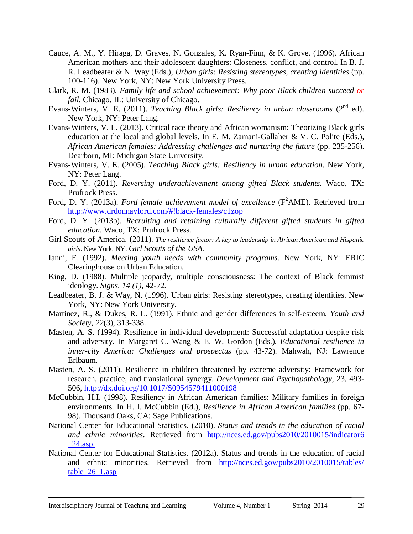- Cauce, A. M., Y. Hiraga, D. Graves, N. Gonzales, K. Ryan-Finn, & K. Grove. (1996). African American mothers and their adolescent daughters: Closeness, conflict, and control. In B. J. R. Leadbeater & N. Way (Eds.), *Urban girls: Resisting stereotypes, creating identities* (pp. 100-116). New York, NY: New York University Press.
- Clark, R. M. (1983). *Family life and school achievement: Why poor Black children succeed or fail*. Chicago, IL: University of Chicago.
- Evans-Winters, V. E. (2011). *Teaching Black girls: Resiliency in urban classrooms* (2<sup>nd</sup> ed). New York, NY: Peter Lang.
- Evans-Winters, V. E. (2013). Critical race theory and African womanism: Theorizing Black girls education at the local and global levels. In E. M. Zamani-Gallaher & V. C. Polite (Eds.), *African American females: Addressing challenges and nurturing the future* (pp. 235-256). Dearborn, MI: Michigan State University.
- Evans-Winters, V. E. (2005). *Teaching Black girls: Resiliency in urban education*. New York, NY: Peter Lang.
- Ford, D. Y. (2011). *Reversing underachievement among gifted Black students*. Waco, TX: Prufrock Press.
- Ford, D. Y. (2013a). *Ford female achievement model of excellence* (F<sup>2</sup>AME). Retrieved from <http://www.drdonnayford.com/#!black-females/c1zop>
- Ford, D. Y. (2013b). *Recruiting and retaining culturally different gifted students in gifted education*. Waco, TX: Prufrock Press.
- Girl Scouts of America. (2011). *The resilience factor: A key to leadership in African American and Hispanic girls*. New York, NY: *Girl Scouts of the USA*.
- Ianni, F. (1992). *Meeting youth needs with community programs*. New York, NY: ERIC Clearinghouse on Urban Education.
- King, D. (1988). Multiple jeopardy, multiple consciousness: The context of Black feminist ideology. *Signs, 14 (1),* 42-72*.*
- Leadbeater, B. J. & Way, N. (1996). Urban girls: Resisting stereotypes, creating identities. New York, NY: New York University.
- Martinez, R., & Dukes, R. L. (1991). Ethnic and gender differences in self-esteem. *Youth and Society*, *22*(3), 313-338.
- Masten, A. S. (1994). Resilience in individual development: Successful adaptation despite risk and adversity. In Margaret C. Wang & E. W. Gordon (Eds.), *Educational resilience in inner-city America: Challenges and prospectus* (pp. 43-72). Mahwah, NJ: Lawrence Erlbaum.
- Masten, A. S. (2011). Resilience in children threatened by extreme adversity: Framework for research, practice, and translational synergy. *Development and Psychopathology*, 23, 493- 506,<http://dx.doi.org/10.1017/S0954579411000198>
- McCubbin, H.I. (1998). Resiliency in African American families: Military families in foreign environments. In H. I. McCubbin (Ed.), *Resilience in African American families* (pp. 67- 98). Thousand Oaks, CA: Sage Publications.
- National Center for Educational Statistics. (2010). *Status and trends in the education of racial and ethnic minorities*. Retrieved from [http://nces.ed.gov/pubs2010/2010015/indicator6](http://nces.ed.gov/pubs2010/2010015/indicator6_24.asp)  [\\_24.asp.](http://nces.ed.gov/pubs2010/2010015/indicator6_24.asp)
- National Center for Educational Statistics. (2012a). Status and trends in the education of racial and ethnic minorities. Retrieved from [http://nces.ed.gov/pubs2010/2010015/tables/](http://nces.ed.gov/pubs2010/2010015/tables/table_26_1.asp)  table 26 1.asp